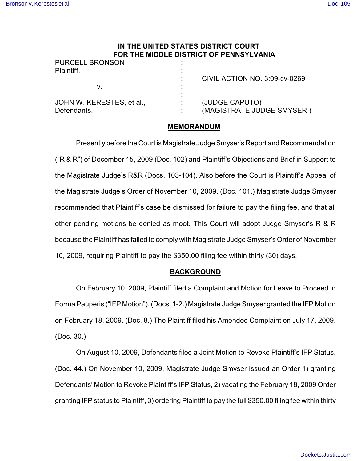# **IN THE UNITED STATES DISTRICT COURT FOR THE MIDDLE DISTRICT OF PENNSYLVANIA**

PURCELL BRONSON

| Plaintiff,                               | CIVIL ACTION NO. 3:09-cv-0269               |
|------------------------------------------|---------------------------------------------|
|                                          |                                             |
| JOHN W. KERESTES, et al.,<br>Defendants. | (JUDGE CAPUTO)<br>(MAGISTRATE JUDGE SMYSER) |

#### **MEMORANDUM**

Presently before the Court is Magistrate Judge Smyser's Report and Recommendation ("R & R") of December 15, 2009 (Doc. 102) and Plaintiff's Objections and Brief in Support to the Magistrate Judge's R&R (Docs. 103-104). Also before the Court is Plaintiff's Appeal of the Magistrate Judge's Order of November 10, 2009. (Doc. 101.) Magistrate Judge Smyser recommended that Plaintiff's case be dismissed for failure to pay the filing fee, and that all other pending motions be denied as moot. This Court will adopt Judge Smyser's R & R because the Plaintiff has failed to comply with Magistrate Judge Smyser's Order of November 10, 2009, requiring Plaintiff to pay the \$350.00 filing fee within thirty (30) days.

# **BACKGROUND**

On February 10, 2009, Plaintiff filed a Complaint and Motion for Leave to Proceed in Forma Pauperis ("IFP Motion"). (Docs. 1-2.) Magistrate Judge Smyser granted the IFP Motion on February 18, 2009. (Doc. 8.) The Plaintiff filed his Amended Complaint on July 17, 2009. (Doc. 30.)

On August 10, 2009, Defendants filed a Joint Motion to Revoke Plaintiff's IFP Status. (Doc. 44.) On November 10, 2009, Magistrate Judge Smyser issued an Order 1) granting Defendants' Motion to Revoke Plaintiff's IFP Status, 2) vacating the February 18, 2009 Order granting IFP status to Plaintiff, 3) ordering Plaintiff to pay the full \$350.00 filing fee within thirty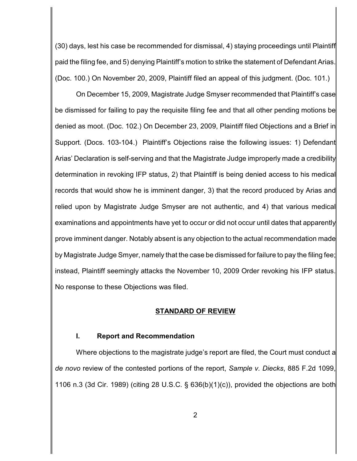(30) days, lest his case be recommended for dismissal, 4) staying proceedings until Plaintiff paid the filing fee, and 5) denying Plaintiff's motion to strike the statement of Defendant Arias. (Doc. 100.) On November 20, 2009, Plaintiff filed an appeal of this judgment. (Doc. 101.)

On December 15, 2009, Magistrate Judge Smyser recommended that Plaintiff's case be dismissed for failing to pay the requisite filing fee and that all other pending motions be denied as moot. (Doc. 102.) On December 23, 2009, Plaintiff filed Objections and a Brief in Support. (Docs. 103-104.) Plaintiff's Objections raise the following issues: 1) Defendant Arias' Declaration is self-serving and that the Magistrate Judge improperly made a credibility determination in revoking IFP status, 2) that Plaintiff is being denied access to his medical records that would show he is imminent danger, 3) that the record produced by Arias and relied upon by Magistrate Judge Smyser are not authentic, and 4) that various medical examinations and appointments have yet to occur or did not occur until dates that apparently prove imminent danger. Notably absent is any objection to the actual recommendation made by Magistrate Judge Smyer, namely that the case be dismissed for failure to pay the filing fee; instead, Plaintiff seemingly attacks the November 10, 2009 Order revoking his IFP status. No response to these Objections was filed.

#### **STANDARD OF REVIEW**

#### **I. Report and Recommendation**

Where objections to the magistrate judge's report are filed, the Court must conduct a *de novo* review of the contested portions of the report, *Sample v. Diecks*, 885 F.2d 1099, 1106 n.3 (3d Cir. 1989) (citing 28 U.S.C. § 636(b)(1)(c)), provided the objections are both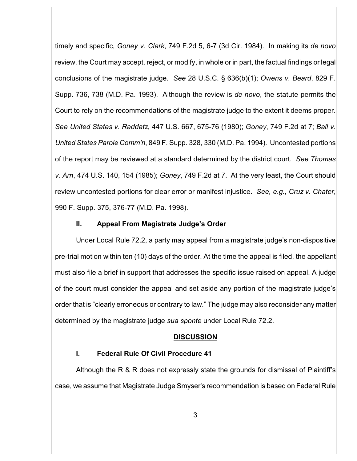timely and specific, *Goney v. Clark*, 749 F.2d 5, 6-7 (3d Cir. 1984). In making its *de novo* review, the Court may accept, reject, or modify, in whole or in part, the factual findings or legal conclusions of the magistrate judge. *See* 28 U.S.C. § 636(b)(1); *Owens v. Beard*, 829 F. Supp. 736, 738 (M.D. Pa. 1993). Although the review is *de novo*, the statute permits the Court to rely on the recommendations of the magistrate judge to the extent it deems proper. *See United States v. Raddatz*, 447 U.S. 667, 675-76 (1980); *Goney*, 749 F.2d at 7; *Ball v. United States Parole Comm'n*, 849 F. Supp. 328, 330 (M.D. Pa. 1994). Uncontested portions of the report may be reviewed at a standard determined by the district court. *See Thomas v. Arn*, 474 U.S. 140, 154 (1985); *Goney*, 749 F.2d at 7. At the very least, the Court should review uncontested portions for clear error or manifest injustice. *See, e.g., Cruz v. Chater*, 990 F. Supp. 375, 376-77 (M.D. Pa. 1998).

### **II. Appeal From Magistrate Judge's Order**

Under Local Rule 72.2, a party may appeal from a magistrate judge's non-dispositive pre-trial motion within ten (10) days of the order. At the time the appeal is filed, the appellant must also file a brief in support that addresses the specific issue raised on appeal. A judge of the court must consider the appeal and set aside any portion of the magistrate judge's order that is "clearly erroneous or contrary to law." The judge may also reconsider any matter determined by the magistrate judge *sua sponte* under Local Rule 72.2.

### **DISCUSSION**

### **I. Federal Rule Of Civil Procedure 41**

Although the R & R does not expressly state the grounds for dismissal of Plaintiff's case, we assume that Magistrate Judge Smyser's recommendation is based on Federal Rule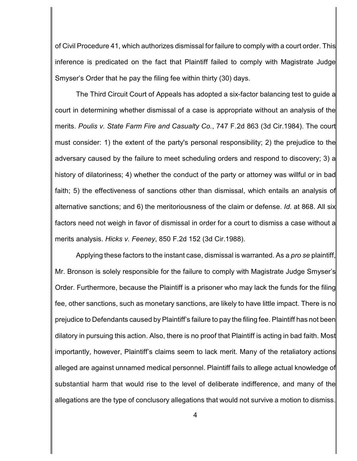of Civil Procedure 41, which authorizes dismissal for failure to comply with a court order. This inference is predicated on the fact that Plaintiff failed to comply with Magistrate Judge Smyser's Order that he pay the filing fee within thirty (30) days.

The Third Circuit Court of Appeals has adopted a six-factor balancing test to guide a court in determining whether dismissal of a case is appropriate without an analysis of the merits. *Poulis v. State Farm Fire and Casualty Co.*, 747 F.2d 863 (3d Cir.1984). The court must consider: 1) the extent of the party's personal responsibility; 2) the prejudice to the adversary caused by the failure to meet scheduling orders and respond to discovery; 3) a history of dilatoriness; 4) whether the conduct of the party or attorney was willful or in bad faith; 5) the effectiveness of sanctions other than dismissal, which entails an analysis of alternative sanctions; and 6) the meritoriousness of the claim or defense. *Id*. at 868. All six factors need not weigh in favor of dismissal in order for a court to dismiss a case without a merits analysis. *Hicks v. Feeney*, 850 F.2d 152 (3d Cir.1988).

Applying these factors to the instant case, dismissal is warranted. As a *pro se* plaintiff, Mr. Bronson is solely responsible for the failure to comply with Magistrate Judge Smyser's Order. Furthermore, because the Plaintiff is a prisoner who may lack the funds for the filing fee, other sanctions, such as monetary sanctions, are likely to have little impact. There is no prejudice to Defendants caused by Plaintiff's failure to pay the filing fee. Plaintiff has not been dilatory in pursuing this action. Also, there is no proof that Plaintiff is acting in bad faith. Most importantly, however, Plaintiff's claims seem to lack merit. Many of the retaliatory actions alleged are against unnamed medical personnel. Plaintiff fails to allege actual knowledge of substantial harm that would rise to the level of deliberate indifference, and many of the allegations are the type of conclusory allegations that would not survive a motion to dismiss.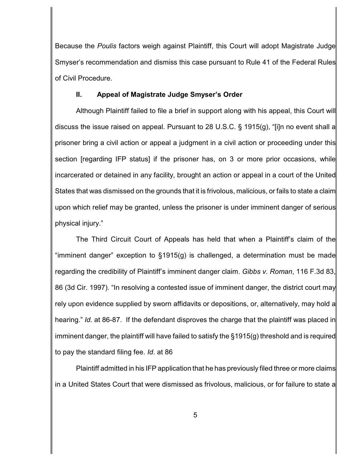Because the *Poulis* factors weigh against Plaintiff, this Court will adopt Magistrate Judge Smyser's recommendation and dismiss this case pursuant to Rule 41 of the Federal Rules of Civil Procedure.

## **II. Appeal of Magistrate Judge Smyser's Order**

Although Plaintiff failed to file a brief in support along with his appeal, this Court will discuss the issue raised on appeal. Pursuant to 28 U.S.C. § 1915(g), "[i]n no event shall a prisoner bring a civil action or appeal a judgment in a civil action or proceeding under this section [regarding IFP status] if the prisoner has, on 3 or more prior occasions, while incarcerated or detained in any facility, brought an action or appeal in a court of the United States that was dismissed on the grounds that it is frivolous, malicious, or fails to state a claim upon which relief may be granted, unless the prisoner is under imminent danger of serious physical injury."

The Third Circuit Court of Appeals has held that when a Plaintiff's claim of the "imminent danger" exception to §1915(g) is challenged, a determination must be made regarding the credibility of Plaintiff's imminent danger claim. *Gibbs v. Roman*, 116 F.3d 83, 86 (3d Cir. 1997). "In resolving a contested issue of imminent danger, the district court may rely upon evidence supplied by sworn affidavits or depositions, or, alternatively, may hold a hearing." *Id.* at 86-87. If the defendant disproves the charge that the plaintiff was placed in imminent danger, the plaintiff will have failed to satisfy the §1915(g) threshold and is required to pay the standard filing fee. *Id*. at 86

Plaintiff admitted in his IFP application that he has previously filed three or more claims in a United States Court that were dismissed as frivolous, malicious, or for failure to state a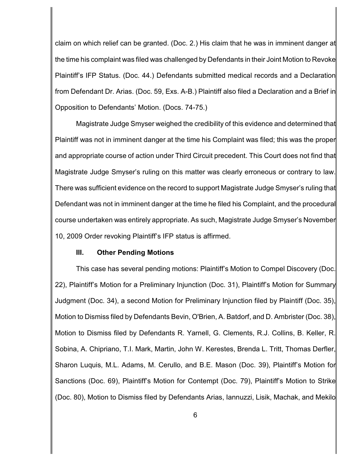claim on which relief can be granted. (Doc. 2.) His claim that he was in imminent danger at the time his complaint was filed was challenged by Defendants in their Joint Motion to Revoke Plaintiff's IFP Status. (Doc. 44.) Defendants submitted medical records and a Declaration from Defendant Dr. Arias. (Doc. 59, Exs. A-B.) Plaintiff also filed a Declaration and a Brief in Opposition to Defendants' Motion. (Docs. 74-75.)

Magistrate Judge Smyser weighed the credibility of this evidence and determined that Plaintiff was not in imminent danger at the time his Complaint was filed; this was the proper and appropriate course of action under Third Circuit precedent. This Court does not find that Magistrate Judge Smyser's ruling on this matter was clearly erroneous or contrary to law. There was sufficient evidence on the record to support Magistrate Judge Smyser's ruling that Defendant was not in imminent danger at the time he filed his Complaint, and the procedural course undertaken was entirely appropriate. As such, Magistrate Judge Smyser's November 10, 2009 Order revoking Plaintiff's IFP status is affirmed.

#### **III. Other Pending Motions**

This case has several pending motions: Plaintiff's Motion to Compel Discovery (Doc. 22), Plaintiff's Motion for a Preliminary Injunction (Doc. 31), Plaintiff's Motion for Summary Judgment (Doc. 34), a second Motion for Preliminary Injunction filed by Plaintiff (Doc. 35), Motion to Dismiss filed by Defendants Bevin, O'Brien, A. Batdorf, and D. Ambrister (Doc. 38), Motion to Dismiss filed by Defendants R. Yarnell, G. Clements, R.J. Collins, B. Keller, R. Sobina, A. Chipriano, T.I. Mark, Martin, John W. Kerestes, Brenda L. Tritt, Thomas Derfler, Sharon Luquis, M.L. Adams, M. Cerullo, and B.E. Mason (Doc. 39), Plaintiff's Motion for Sanctions (Doc. 69), Plaintiff's Motion for Contempt (Doc. 79), Plaintiff's Motion to Strike (Doc. 80), Motion to Dismiss filed by Defendants Arias, Iannuzzi, Lisik, Machak, and Mekilo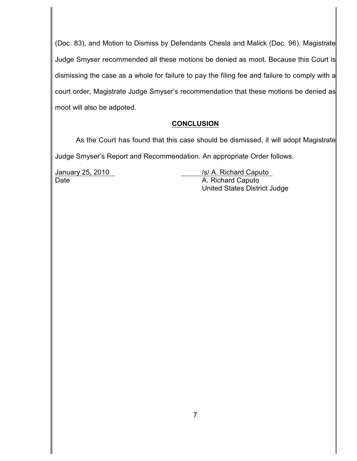(Doc. 83), and Motion to Dismiss by Defendants Chesla and Malick (Doc. 96). Magistrate Judge Smyser recommended all these motions be denied as moot. Because this Court is dismissing the case as a whole for failure to pay the filing fee and failure to comply with a court order, Magistrate Judge Smyser's recommendation that these motions be denied as moot will also be adpoted.

### **CONCLUSION**

As the Court has found that this case should be dismissed, it will adopt Magistrate Judge Smyser's Report and Recommendation. An appropriate Order follows.

January 25, 2010 */s/ A. Richard Caputo* Date **Date A. Richard Caputo** United States District Judge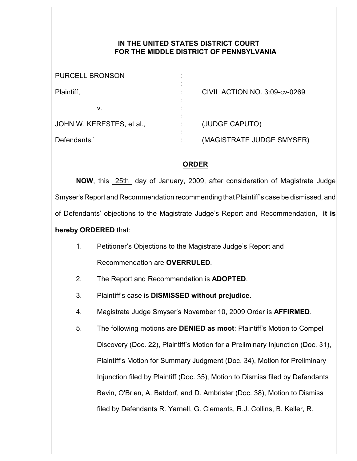## **IN THE UNITED STATES DISTRICT COURT FOR THE MIDDLE DISTRICT OF PENNSYLVANIA**

| <b>PURCELL BRONSON</b>    |                               |
|---------------------------|-------------------------------|
| Plaintiff,                | CIVIL ACTION NO. 3:09-cv-0269 |
| v.                        |                               |
| JOHN W. KERESTES, et al., | (JUDGE CAPUTO)                |
| Defendants.               | (MAGISTRATE JUDGE SMYSER)     |

# **ORDER**

**NOW**, this 25th day of January, 2009, after consideration of Magistrate Judge Smyser's Report and Recommendation recommending that Plaintiff's case be dismissed, and of Defendants' objections to the Magistrate Judge's Report and Recommendation, **it is hereby ORDERED** that:

1. Petitioner's Objections to the Magistrate Judge's Report and

Recommendation are **OVERRULED**.

- 2. The Report and Recommendation is **ADOPTED**.
- 3. Plaintiff's case is **DISMISSED without prejudice**.
- 4. Magistrate Judge Smyser's November 10, 2009 Order is **AFFIRMED**.

5. The following motions are **DENIED as moot**: Plaintiff's Motion to Compel Discovery (Doc. 22), Plaintiff's Motion for a Preliminary Injunction (Doc. 31), Plaintiff's Motion for Summary Judgment (Doc. 34), Motion for Preliminary Injunction filed by Plaintiff (Doc. 35), Motion to Dismiss filed by Defendants Bevin, O'Brien, A. Batdorf, and D. Ambrister (Doc. 38), Motion to Dismiss filed by Defendants R. Yarnell, G. Clements, R.J. Collins, B. Keller, R.